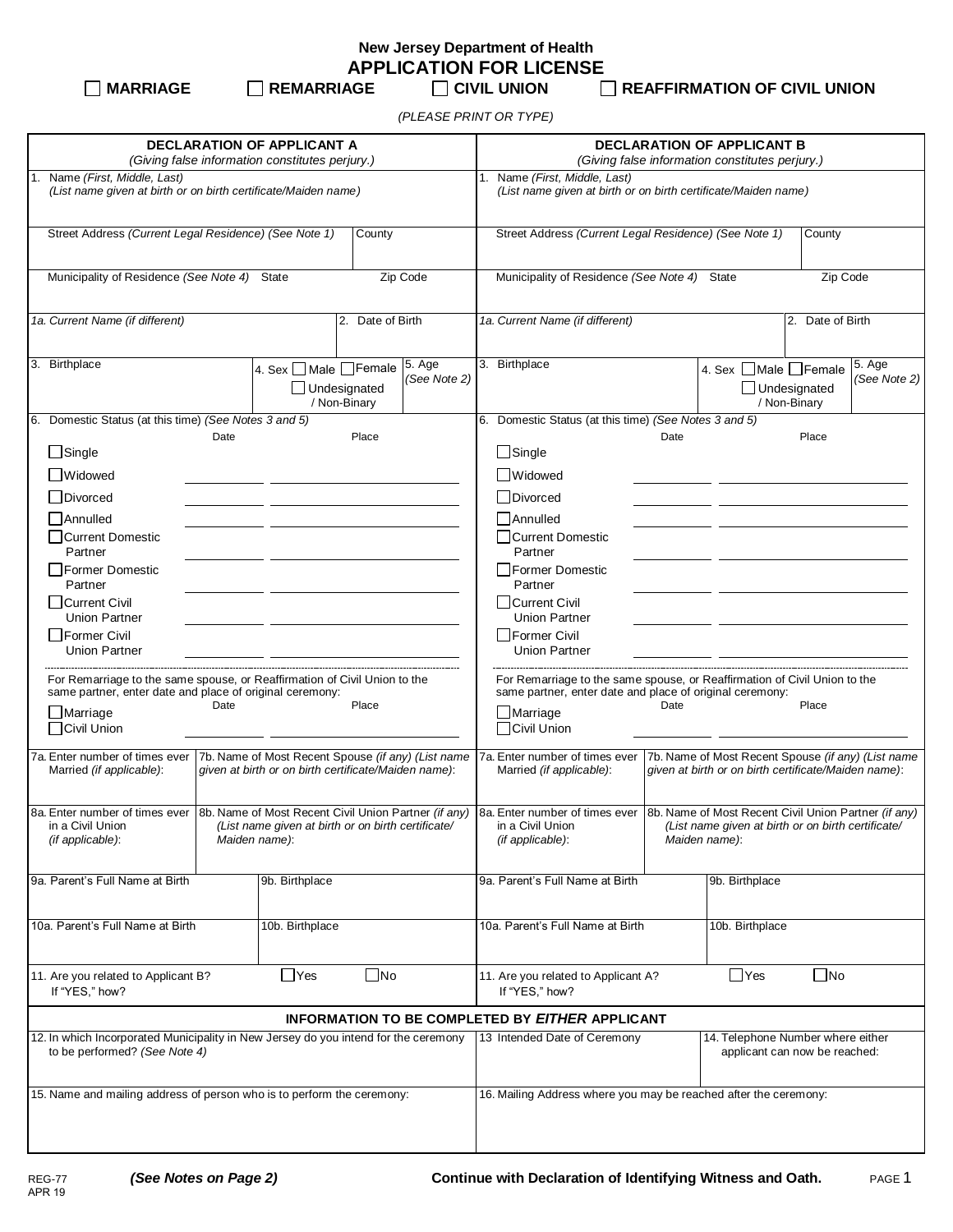**New Jersey Department of Health APPLICATION FOR LICENSE**

**MARRIAGE REMARRIAGE CIVIL UNION REAFFIRMATION OF CIVIL UNION**

*(PLEASE PRINT OR TYPE)*

| <b>DECLARATION OF APPLICANT A</b><br>(Giving false information constitutes perjury.)                                                                                     |                                               |                                                                                  |                                                                                                                                                                                                                                                                                        | <b>DECLARATION OF APPLICANT B</b><br>(Giving false information constitutes perjury.)                                                  |                                                       |                                                                    |                      |                                     |                        |
|--------------------------------------------------------------------------------------------------------------------------------------------------------------------------|-----------------------------------------------|----------------------------------------------------------------------------------|----------------------------------------------------------------------------------------------------------------------------------------------------------------------------------------------------------------------------------------------------------------------------------------|---------------------------------------------------------------------------------------------------------------------------------------|-------------------------------------------------------|--------------------------------------------------------------------|----------------------|-------------------------------------|------------------------|
| Name (First, Middle, Last)<br>(List name given at birth or on birth certificate/Maiden name)                                                                             |                                               |                                                                                  |                                                                                                                                                                                                                                                                                        | 1. Name (First, Middle, Last)<br>(List name given at birth or on birth certificate/Maiden name)                                       |                                                       |                                                                    |                      |                                     |                        |
| Street Address (Current Legal Residence) (See Note 1)<br>County                                                                                                          |                                               |                                                                                  | Street Address (Current Legal Residence) (See Note 1)<br>County                                                                                                                                                                                                                        |                                                                                                                                       |                                                       |                                                                    |                      |                                     |                        |
| Municipality of Residence (See Note 4) State<br>Zip Code                                                                                                                 |                                               |                                                                                  |                                                                                                                                                                                                                                                                                        | Municipality of Residence (See Note 4) State<br>Zip Code                                                                              |                                                       |                                                                    |                      |                                     |                        |
| 1a. Current Name (if different)<br>2. Date of Birth                                                                                                                      |                                               |                                                                                  |                                                                                                                                                                                                                                                                                        | 1a. Current Name (if different)<br>2. Date of Birth                                                                                   |                                                       |                                                                    |                      |                                     |                        |
| 3. Birthplace                                                                                                                                                            | 4. Sex □ Male □ Female<br>$\Box$ Undesignated | / Non-Binary                                                                     | 5. Age<br>(See Note 2)                                                                                                                                                                                                                                                                 |                                                                                                                                       | 3. Birthplace                                         |                                                                    | 4. Sex □Male □Female | $\Box$ Undesignated<br>/ Non-Binary | 5. Age<br>(See Note 2) |
| 6. Domestic Status (at this time) (See Notes 3 and 5)                                                                                                                    |                                               |                                                                                  |                                                                                                                                                                                                                                                                                        |                                                                                                                                       | 6. Domestic Status (at this time) (See Notes 3 and 5) |                                                                    |                      |                                     |                        |
| Date                                                                                                                                                                     |                                               | Place                                                                            |                                                                                                                                                                                                                                                                                        |                                                                                                                                       |                                                       | Date                                                               |                      | Place                               |                        |
| $\Box$ Single                                                                                                                                                            |                                               |                                                                                  |                                                                                                                                                                                                                                                                                        |                                                                                                                                       | $\Box$ Single                                         |                                                                    |                      |                                     |                        |
| □Widowed                                                                                                                                                                 |                                               |                                                                                  |                                                                                                                                                                                                                                                                                        |                                                                                                                                       | <b>Nidowed</b>                                        |                                                                    |                      |                                     |                        |
| □Divorced                                                                                                                                                                |                                               |                                                                                  |                                                                                                                                                                                                                                                                                        |                                                                                                                                       | Divorced                                              |                                                                    |                      |                                     |                        |
| l lAnnulled                                                                                                                                                              |                                               |                                                                                  |                                                                                                                                                                                                                                                                                        |                                                                                                                                       | Annulled                                              |                                                                    |                      |                                     |                        |
| □Current Domestic                                                                                                                                                        |                                               |                                                                                  |                                                                                                                                                                                                                                                                                        |                                                                                                                                       | Current Domestic                                      |                                                                    |                      |                                     |                        |
| Partner                                                                                                                                                                  |                                               |                                                                                  |                                                                                                                                                                                                                                                                                        |                                                                                                                                       | Partner                                               |                                                                    |                      |                                     |                        |
| I Former Domestic                                                                                                                                                        |                                               |                                                                                  |                                                                                                                                                                                                                                                                                        |                                                                                                                                       | Former Domestic<br>Partner                            |                                                                    |                      |                                     |                        |
| Partner<br>  Current Civil<br><b>Union Partner</b>                                                                                                                       |                                               |                                                                                  |                                                                                                                                                                                                                                                                                        | Current Civil<br><b>Union Partner</b>                                                                                                 |                                                       |                                                                    |                      |                                     |                        |
| l Former Civil                                                                                                                                                           |                                               |                                                                                  |                                                                                                                                                                                                                                                                                        |                                                                                                                                       | Former Civil                                          |                                                                    |                      |                                     |                        |
| <b>Union Partner</b>                                                                                                                                                     |                                               |                                                                                  |                                                                                                                                                                                                                                                                                        | <b>Union Partner</b>                                                                                                                  |                                                       |                                                                    |                      |                                     |                        |
| For Remarriage to the same spouse, or Reaffirmation of Civil Union to the<br>same partner, enter date and place of original ceremony:                                    |                                               |                                                                                  |                                                                                                                                                                                                                                                                                        | For Remarriage to the same spouse, or Reaffirmation of Civil Union to the<br>same partner, enter date and place of original ceremony: |                                                       |                                                                    |                      |                                     |                        |
| Date<br>$\Box$ Marriage                                                                                                                                                  |                                               | Place                                                                            |                                                                                                                                                                                                                                                                                        |                                                                                                                                       | Date<br>Place<br>$\Box$ Marriage                      |                                                                    |                      |                                     |                        |
| □Civil Union                                                                                                                                                             |                                               |                                                                                  |                                                                                                                                                                                                                                                                                        |                                                                                                                                       | Civil Union                                           |                                                                    |                      |                                     |                        |
| 7b. Name of Most Recent Spouse (if any) (List name<br>7a. Enter number of times ever<br>Married (if applicable):<br>given at birth or on birth certificate/Maiden name): |                                               |                                                                                  | 7b. Name of Most Recent Spouse (if any) (List name<br>7a. Enter number of times ever<br>Married (if applicable):<br>given at birth or on birth certificate/Maiden name):                                                                                                               |                                                                                                                                       |                                                       |                                                                    |                      |                                     |                        |
| in a Civil Union<br>(List name given at birth or on birth certificate/<br>(if applicable):<br>Maiden name):                                                              |                                               |                                                                                  | 8a. Enter number of times ever 8b. Name of Most Recent Civil Union Partner (if any) 8a. Enter number of times ever 8b. Name of Most Recent Civil Union Partner (if any)<br>in a Civil Union<br>(List name given at birth or on birth certificate/<br>(if applicable):<br>Maiden name): |                                                                                                                                       |                                                       |                                                                    |                      |                                     |                        |
| 9a. Parent's Full Name at Birth                                                                                                                                          | 9b. Birthplace                                |                                                                                  |                                                                                                                                                                                                                                                                                        |                                                                                                                                       | 9a. Parent's Full Name at Birth                       |                                                                    | 9b. Birthplace       |                                     |                        |
| 10a. Parent's Full Name at Birth<br>10b. Birthplace                                                                                                                      |                                               |                                                                                  | 10a. Parent's Full Name at Birth                                                                                                                                                                                                                                                       |                                                                                                                                       | 10b. Birthplace                                       |                                                                    |                      |                                     |                        |
| $\Box$ Yes<br>$\Box$ No<br>11. Are you related to Applicant B?<br>If "YES," how?                                                                                         |                                               | $\Box$ Yes<br>$\Box$ No<br>11. Are you related to Applicant A?<br>If "YES," how? |                                                                                                                                                                                                                                                                                        |                                                                                                                                       |                                                       |                                                                    |                      |                                     |                        |
|                                                                                                                                                                          |                                               |                                                                                  |                                                                                                                                                                                                                                                                                        |                                                                                                                                       | INFORMATION TO BE COMPLETED BY EITHER APPLICANT       |                                                                    |                      |                                     |                        |
| 12. In which Incorporated Municipality in New Jersey do you intend for the ceremony<br>to be performed? (See Note 4)                                                     |                                               |                                                                                  |                                                                                                                                                                                                                                                                                        | 13 Intended Date of Ceremony                                                                                                          |                                                       | 14. Telephone Number where either<br>applicant can now be reached: |                      |                                     |                        |
| 15. Name and mailing address of person who is to perform the ceremony:                                                                                                   |                                               |                                                                                  |                                                                                                                                                                                                                                                                                        | 16. Mailing Address where you may be reached after the ceremony:                                                                      |                                                       |                                                                    |                      |                                     |                        |
|                                                                                                                                                                          |                                               |                                                                                  |                                                                                                                                                                                                                                                                                        |                                                                                                                                       |                                                       |                                                                    |                      |                                     |                        |